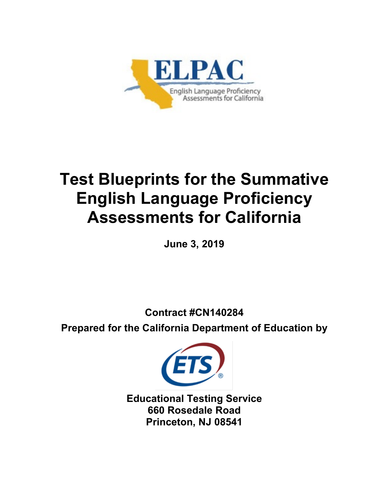

# **Test Blueprints for the Summative English Language Proficiency Assessments for California**

**June 3, 2019** 

**Contract #CN140284**

**Prepared for the California Department of Education by**



**Educational Testing Service 660 Rosedale Road Princeton, NJ 08541**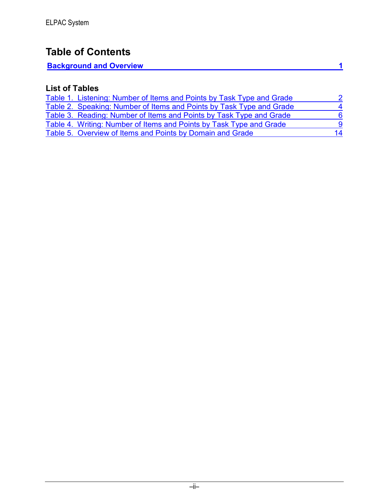### **Table of Contents**

| <b>Background and Overview</b> |  |
|--------------------------------|--|
|                                |  |

### **List of Tables**

| Table 1. Listening: Number of Items and Points by Task Type and Grade |  |
|-----------------------------------------------------------------------|--|
| Table 2. Speaking: Number of Items and Points by Task Type and Grade  |  |
| Table 3. Reading: Number of Items and Points by Task Type and Grade   |  |
| Table 4. Writing: Number of Items and Points by Task Type and Grade   |  |
| Table 5. Overview of Items and Points by Domain and Grade             |  |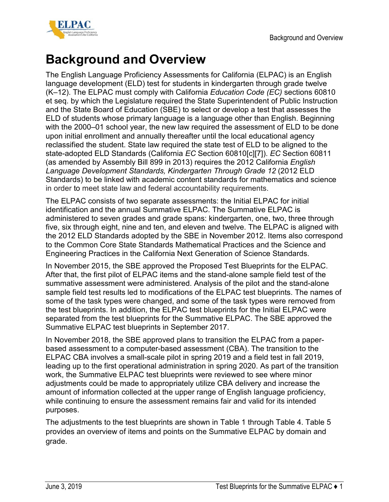

<span id="page-2-0"></span>The English Language Proficiency Assessments for California (ELPAC) is an English language development (ELD) test for students in kindergarten through grade twelve (K–12). The ELPAC must comply with California *Education Code (EC)* sections 60810 et seq. by which the Legislature required the State Superintendent of Public Instruction and the State Board of Education (SBE) to select or develop a test that assesses the ELD of students whose primary language is a language other than English. Beginning with the 2000–01 school year, the new law required the assessment of ELD to be done upon initial enrollment and annually thereafter until the local educational agency reclassified the student. State law required the state test of ELD to be aligned to the state-adopted ELD Standards (California *EC* Section 60810[c][7]). *EC* Section 60811 (as amended by Assembly Bill 899 in 2013) requires the 2012 California *English Language Development Standards, Kindergarten Through Grade 12* (2012 ELD Standards) to be linked with academic content standards for mathematics and science in order to meet state law and federal accountability requirements.

The ELPAC consists of two separate assessments: the Initial ELPAC for initial identification and the annual Summative ELPAC. The Summative ELPAC is administered to seven grades and grade spans: kindergarten, one, two, three through five, six through eight, nine and ten, and eleven and twelve. The ELPAC is aligned with the 2012 ELD Standards adopted by the SBE in November 2012. Items also correspond to the Common Core State Standards Mathematical Practices and the Science and Engineering Practices in the California Next Generation of Science Standards.

In November 2015, the SBE approved the Proposed Test Blueprints for the ELPAC. After that, the first pilot of ELPAC items and the stand-alone sample field test of the summative assessment were administered. Analysis of the pilot and the stand-alone sample field test results led to modifications of the ELPAC test blueprints. The names of some of the task types were changed, and some of the task types were removed from the test blueprints. In addition, the ELPAC test blueprints for the Initial ELPAC were separated from the test blueprints for the Summative ELPAC. The SBE approved the Summative ELPAC test blueprints in September 2017.

In November 2018, the SBE approved plans to transition the ELPAC from a paperbased assessment to a computer-based assessment (CBA). The transition to the ELPAC CBA involves a small-scale pilot in spring 2019 and a field test in fall 2019, leading up to the first operational administration in spring 2020. As part of the transition work, the Summative ELPAC test blueprints were reviewed to see where minor adjustments could be made to appropriately utilize CBA delivery and increase the amount of information collected at the upper range of English language proficiency, while continuing to ensure the assessment remains fair and valid for its intended purposes.

The adjustments to the test blueprints are shown in [Table 1](#page-3-0) through [Table 4.](#page-10-0) [Table 5](#page-15-0) provides an overview of items and points on the Summative ELPAC by domain and grade.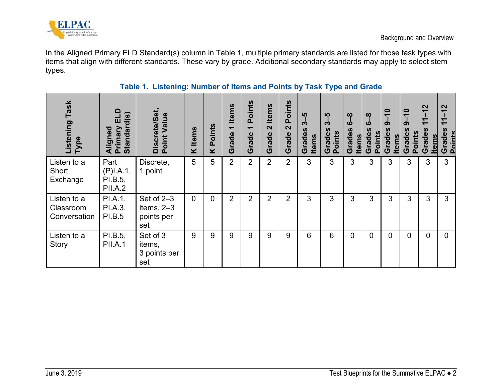

In the Aligned Primary ELD Standard(s) column in [Table 1,](#page-3-1) multiple primary standards are listed for those task types with items that align with different standards. These vary by grade. Additional secondary standards may apply to select stem types.

<span id="page-3-1"></span><span id="page-3-0"></span>

| Listening Task<br>Type                   | $\blacksquare$<br>Standard(s)<br>ш<br>Aligned<br>Primary | <b>Discrete/Set</b><br>Value<br>Point           | <b>Items</b><br>Χ | Points<br>X | <b>Items</b><br>$\overline{\phantom{0}}$<br>Grade | oints<br>$\Omega$<br>$\overline{\phantom{0}}$<br>$\boldsymbol{\omega}$<br>Grad | <b>Items</b><br>$\mathbf{\Omega}$<br>Grade | <b>Points</b><br>$\mathbf{\Omega}$<br>Grade | ယူ<br>က်<br><b>SI</b><br>Grades<br><b>Items</b> | ယူ<br>က်<br>Grades<br>Points | ထု<br>$\mathbf c$<br>Grades<br><b>Items</b> | $\infty$<br>ശ<br><b>Points</b><br>Grade | $\overline{\mathbf{C}}$<br>ග<br><b>S</b><br>Grades<br><b>Items</b> | $\bullet$<br>$\overline{\phantom{0}}$<br>၈<br>Grades<br>Points | $\mathbf{\Omega}$<br>$\overline{\phantom{0}}$<br>᠇<br>U)<br>Grades<br><b>Items</b> | $\mathbf{\Omega}$<br>$\overline{\phantom{0}}$<br>$\blacktriangledown$<br>$\overline{\phantom{0}}$<br>Grades<br><b>Points</b> |
|------------------------------------------|----------------------------------------------------------|-------------------------------------------------|-------------------|-------------|---------------------------------------------------|--------------------------------------------------------------------------------|--------------------------------------------|---------------------------------------------|-------------------------------------------------|------------------------------|---------------------------------------------|-----------------------------------------|--------------------------------------------------------------------|----------------------------------------------------------------|------------------------------------------------------------------------------------|------------------------------------------------------------------------------------------------------------------------------|
| Listen to a<br>Short<br>Exchange         | Part<br>(P)I.A.1,<br>PI.B.5,<br><b>PII.A.2</b>           | Discrete,<br>1 point                            | 5                 | 5           | 2                                                 | $\overline{2}$                                                                 | $\overline{2}$                             | 2                                           | 3                                               | 3                            | 3                                           | 3                                       | 3                                                                  | 3                                                              | 3                                                                                  | 3                                                                                                                            |
| Listen to a<br>Classroom<br>Conversation | PI.A.1,<br>PI.A.3,<br><b>PI.B.5</b>                      | Set of 2-3<br>items, $2-3$<br>points per<br>set | $\mathbf 0$       | 0           | 2                                                 | 2                                                                              | $\overline{2}$                             | 2                                           | 3                                               | 3                            | 3                                           | 3                                       | 3                                                                  | 3                                                              | 3                                                                                  | 3                                                                                                                            |
| Listen to a<br>Story                     | PI.B.5,<br><b>PII.A.1</b>                                | Set of 3<br>items,<br>3 points per<br>set       | 9                 | 9           | 9                                                 | 9                                                                              | 9                                          | 9                                           | 6                                               | 6                            | $\overline{0}$                              | $\overline{0}$                          | $\mathbf 0$                                                        | 0                                                              | $\overline{0}$                                                                     | $\mathbf{0}$                                                                                                                 |

#### **Table 1. Listening: Number of Items and Points by Task Type and Grade**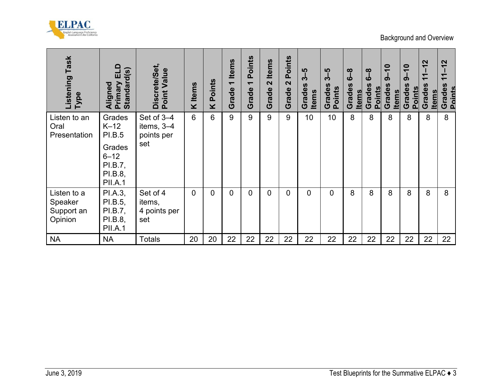

| <b>Listening Task</b><br>Type                   | Primary ELD<br>Standard(s)<br>Aligned                                                    | Discrete/Set,<br>Point Value                  | <b>K</b> Items  | <b>K</b> Points | Grade 1 Items | Points<br>$\overline{\phantom{0}}$<br>Grade <sup>-</sup> | Grade 2 Items  | Grade 2 Points | $3 - 5$<br>Grades<br><b>Items</b> | 3-5<br>Grades<br>Points | $\frac{8}{6}$<br>Grades<br><b>Items</b> | $\frac{8}{6}$<br>Grades<br><b>Points</b> | $9 - 10$<br>Grades<br><b>Items</b> | $9 - 10$<br>Grades<br><b>Points</b> | $11 - 12$<br>Grades<br><b>Items</b> | $11 - 12$<br>Grades<br><b>Points</b> |
|-------------------------------------------------|------------------------------------------------------------------------------------------|-----------------------------------------------|-----------------|-----------------|---------------|----------------------------------------------------------|----------------|----------------|-----------------------------------|-------------------------|-----------------------------------------|------------------------------------------|------------------------------------|-------------------------------------|-------------------------------------|--------------------------------------|
| Listen to an<br>Oral<br>Presentation            | Grades<br>$K-12$<br>PI.B.5<br>Grades<br>$6 - 12$<br>PI.B.7,<br>PI.B.8,<br><b>PII.A.1</b> | Set of 3-4<br>items, 3-4<br>points per<br>set | $6\overline{6}$ | $6\phantom{a}$  | 9             | 9                                                        | $\overline{9}$ | $\overline{9}$ | 10                                | 10                      | 8                                       | 8                                        | 8                                  | $\delta$                            | 8                                   | 8                                    |
| Listen to a<br>Speaker<br>Support an<br>Opinion | PI.A.3,<br>PI.B.5,<br>PI.B.7,<br>PI.B.8,<br><b>PII.A.1</b>                               | Set of 4<br>items,<br>4 points per<br>set     | $\overline{0}$  | $\overline{0}$  | $\mathbf{0}$  | $\overline{0}$                                           | $\overline{0}$ | $\overline{0}$ | $\overline{0}$                    | $\overline{0}$          | 8                                       | 8                                        | 8                                  | 8                                   | 8                                   | 8                                    |
| <b>NA</b>                                       | <b>NA</b>                                                                                | <b>Totals</b>                                 | 20              | 20              | 22            | 22                                                       | 22             | 22             | 22                                | 22                      | 22                                      | 22                                       | 22                                 | 22                                  | 22                                  | 22                                   |
|                                                 |                                                                                          |                                               |                 |                 |               |                                                          |                |                |                                   |                         |                                         |                                          |                                    |                                     |                                     |                                      |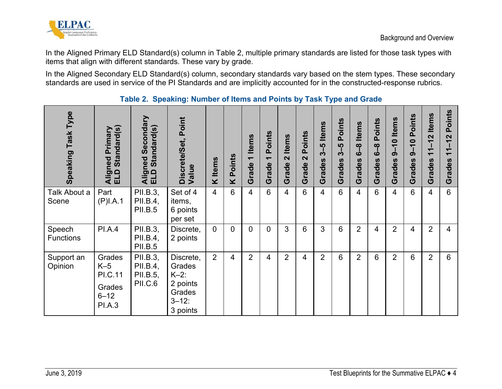

In the Aligned Primary ELD Standard(s) column in [Table 2,](#page-5-1) multiple primary standards are listed for those task types with items that align with different standards. These vary by grade.

In the Aligned Secondary ELD Standard(s) column, secondary standards vary based on the stem types. These secondary standards are used in service of the PI Standards and are implicitly accounted for in the constructed-response rubrics.

<span id="page-5-1"></span><span id="page-5-0"></span>

| Speaking Task Type         | Standard(s)<br>Primary<br>Aligned<br>ELD Star                            | Secondary<br>ndard(s)<br>Stal<br>Aligned<br>ΞŪ     | Discrete/Set, Point<br>Value                                                   | <b>Items</b><br>× | Points<br>X    | <b>Items</b><br>$\overline{\phantom{0}}$<br>Grade | <b>Points</b><br>$\overline{\phantom{0}}$<br>Grade | <b>Items</b><br>$\mathbf{\Omega}$<br>Grade | <b>Points</b><br>$\mathbf{N}$<br>Grade | <b>Items</b><br>$3 - 5$<br>Grades | Points<br>ယူ<br>က်<br>Grades | <b>Items</b><br>ထ္<br>لٰہ<br>Grades | Points<br>ထု<br>لٰی<br>Grades | $9-10$ Items<br>Grades | Points<br>$\bullet$<br>$\boldsymbol{\sigma}$<br>Grades | <b>Items</b><br>$1 - 12$<br>$\bar{\phantom{a}}$<br>Grades | Points<br>$11 - 12$<br>Grades |
|----------------------------|--------------------------------------------------------------------------|----------------------------------------------------|--------------------------------------------------------------------------------|-------------------|----------------|---------------------------------------------------|----------------------------------------------------|--------------------------------------------|----------------------------------------|-----------------------------------|------------------------------|-------------------------------------|-------------------------------|------------------------|--------------------------------------------------------|-----------------------------------------------------------|-------------------------------|
| Talk About a<br>Scene      | Part<br>(P)I.A.1                                                         | PII.B.3,<br>PII.B.4,<br><b>PII.B.5</b>             | Set of 4<br>items,<br>6 points<br>per set                                      | $\overline{4}$    | $6\phantom{a}$ | $\overline{4}$                                    | $6\phantom{1}$                                     | $\overline{4}$                             | 6                                      | 4                                 | 6                            | $\overline{4}$                      | $6\phantom{1}$                | $\overline{4}$         | 6                                                      | 4                                                         | $6\phantom{1}$                |
| Speech<br><b>Functions</b> | <b>PI.A.4</b>                                                            | PII.B.3,<br>PII.B.4,<br><b>PII.B.5</b>             | Discrete,<br>2 points                                                          | $\Omega$          | $\overline{0}$ | $\overline{0}$                                    | $\overline{0}$                                     | 3                                          | 6                                      | 3                                 | 6                            | $\overline{2}$                      | $\overline{4}$                | 2                      | $\overline{4}$                                         | $\overline{2}$                                            | $\overline{4}$                |
| Support an<br>Opinion      | Grades<br>$K-5$<br><b>PI.C.11</b><br>Grades<br>$6 - 12$<br><b>PI.A.3</b> | PII.B.3,<br>PII.B.4,<br>PII.B.5,<br><b>PII.C.6</b> | Discrete,<br>Grades<br>$K-2$ :<br>2 points<br>Grades<br>$3 - 12$ :<br>3 points | $\overline{2}$    | 4              | $\overline{2}$                                    | 4                                                  | $\overline{2}$                             | $\overline{4}$                         | $\overline{2}$                    | 6                            | $\overline{2}$                      | $6\phantom{1}$                | $\overline{2}$         | 6                                                      | $\overline{2}$                                            | 6                             |

#### **Table 2. Speaking: Number of Items and Points by Task Type and Grade**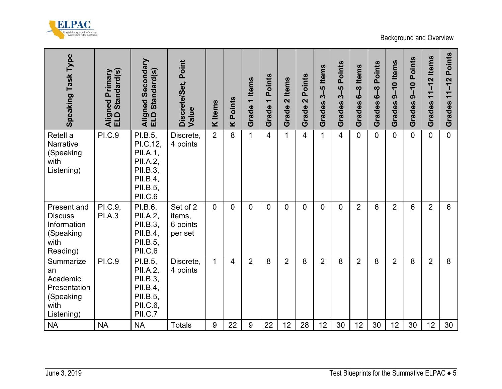

| Speaking Task Type                                                             | Standard(s)<br>Aligned Primary<br>ELD Standard(s) | Aligned Secondary<br>ELD Standard(s)                                                              | Discrete/Set, Point<br>Value              | <b>K</b> Items | Points<br>$\overline{\textbf{X}}$ | 1 Items<br>Grade <sup>-</sup> | Points<br>$\leftarrow$<br>Grade <sup>-</sup> | 2 Items<br>Grade | Points<br>$\mathbf{\Omega}$<br>Grade | Grades 3-5 Items | Points<br>$3-5$<br>Grades | 6-8 Items<br>Grades | Points<br><u>ဇ</u> ္<br>Grades | $9-10$ Items<br>Grades                            | Points<br>$9 - 10$<br>Grades | $11-12$ Items<br>Grades | Points<br>$11 - 12$<br>Grades |
|--------------------------------------------------------------------------------|---------------------------------------------------|---------------------------------------------------------------------------------------------------|-------------------------------------------|----------------|-----------------------------------|-------------------------------|----------------------------------------------|------------------|--------------------------------------|------------------|---------------------------|---------------------|--------------------------------|---------------------------------------------------|------------------------------|-------------------------|-------------------------------|
| Retell a<br>Narrative<br>(Speaking<br>with<br>Listening)                       | <b>PI.C.9</b>                                     | PI.B.5,<br>PI.C.12,<br>PII.A.1,<br>PII.A.2,<br>PII.B.3,<br>PII.B.4,<br>PII.B.5,<br><b>PII.C.6</b> | Discrete,<br>4 points                     | $\overline{2}$ | 8                                 | $\mathbf{1}$                  | $\overline{4}$                               | $\mathbf{1}$     | 4                                    | $\mathbf{1}$     | 4                         | $\mathbf{0}$        | $\Omega$                       | $\Omega$                                          | $\overline{0}$               | $\overline{0}$          | $\overline{0}$                |
| Present and<br><b>Discuss</b><br>Information<br>(Speaking<br>with<br>Reading)  | PI.C.9,<br><b>PI.A.3</b>                          | PI.B.6,<br>PII.A.2,<br>PII.B.3,<br>PII.B.4,<br>PII.B.5,<br><b>PII.C.6</b>                         | Set of 2<br>items,<br>6 points<br>per set | $\overline{0}$ | $\mathbf 0$                       | $\overline{0}$                | $\mathbf 0$                                  | 0                | $\overline{0}$                       | 0                | $\overline{0}$            | $\overline{2}$      | $6\phantom{a}$                 | $\overline{2}$                                    | 6                            | $\overline{2}$          | $6\phantom{a}$                |
| Summarize<br>an<br>Academic<br>Presentation<br>(Speaking<br>with<br>Listening) | <b>PI.C.9</b>                                     | PI.B.5,<br>PII.A.2,<br>PII.B.3,<br>PII.B.4,<br>PII.B.5,<br>PII.C.6,<br>PII.C.7                    | Discrete,<br>4 points                     | $\mathbf{1}$   | 4                                 | $\overline{2}$                | 8                                            | $\overline{2}$   | 8                                    | $\overline{2}$   | 8                         | $\overline{2}$      | 8                              | $\overline{2}$                                    | 8                            | $\overline{2}$          | 8                             |
| <b>NA</b><br>June 3, 2019                                                      | <b>NA</b>                                         | <b>NA</b>                                                                                         | <b>Totals</b>                             | $9$            | 22                                | 9                             | 22                                           | 12               | 28                                   | 12               | 30                        | 12                  | 30                             | 12<br>Test Blueprints for the Summative ELPAC ♦ 5 | 30                           | 12                      | 30                            |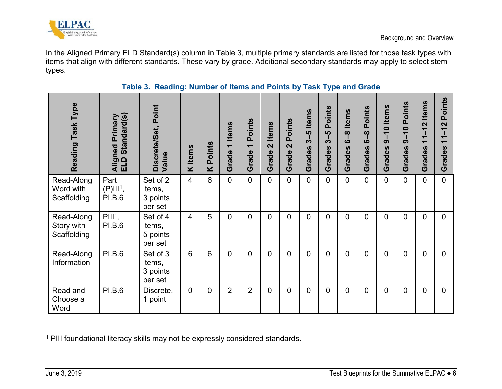

In the Aligned Primary ELD Standard(s) column in [Table 3,](#page-7-1) multiple primary standards are listed for those task types with items that align with different standards. These vary by grade. Additional secondary standards may apply to select stem types.

<span id="page-7-1"></span><span id="page-7-0"></span>

| Reading Task Type                       | Standard(s)<br>Aligned Primary<br>ELD Standard(s) | Discrete/Set, Point<br>Value              | K Items                 | Points<br>¥    | <b>Items</b><br>Grade | Points<br>$\overline{\phantom{0}}$<br>Grade | <b>Items</b><br>$\mathbf{\Omega}$<br>Grade | Points<br>$\mathbf{\Omega}$<br>Grade | <b>Items</b><br>$3 - 5$<br>Grades | Points<br>ပ္ပ္သာ<br>က်<br>Grades | <b>Items</b><br>$\frac{8}{6}$<br>Grades | Points<br>$\infty$<br>Ö<br>Grades | $9 - 10$ Items<br>Grades | <b>Points</b><br>$9 - 10$<br>Grades | <b>Items</b><br>$-12$<br>$\overline{\phantom{0}}$<br>$\overline{\phantom{0}}$<br>Grades | oints<br>$\Omega$<br>$\mathbf{\Omega}$<br>$\overline{\phantom{0}}$<br>Grades |
|-----------------------------------------|---------------------------------------------------|-------------------------------------------|-------------------------|----------------|-----------------------|---------------------------------------------|--------------------------------------------|--------------------------------------|-----------------------------------|----------------------------------|-----------------------------------------|-----------------------------------|--------------------------|-------------------------------------|-----------------------------------------------------------------------------------------|------------------------------------------------------------------------------|
| Read-Along<br>Word with<br>Scaffolding  | Part<br>$(P)$ III <sup>1</sup> ,<br><b>PI.B.6</b> | Set of 2<br>items,<br>3 points<br>per set | $\overline{\mathbf{4}}$ | 6              | 0                     | $\overline{0}$                              | $\Omega$                                   | $\mathbf 0$                          | $\mathbf 0$                       | $\overline{0}$                   | 0                                       | $\overline{0}$                    | $\overline{0}$           | $\overline{0}$                      | $\overline{0}$                                                                          | $\Omega$                                                                     |
| Read-Along<br>Story with<br>Scaffolding | $PIII1$ ,<br><b>PI.B.6</b>                        | Set of 4<br>items,<br>5 points<br>per set | 4                       | 5              | 0                     | $\overline{0}$                              | 0                                          | $\overline{0}$                       | 0                                 | $\mathbf{0}$                     | 0                                       | $\Omega$                          | $\overline{0}$           | 0                                   | $\overline{0}$                                                                          | $\mathbf{0}$                                                                 |
| Read-Along<br>Information               | <b>PI.B.6</b>                                     | Set of 3<br>items,<br>3 points<br>per set | 6                       | $6\phantom{1}$ | $\overline{0}$        | $\overline{0}$                              | $\Omega$                                   | $\overline{0}$                       | 0                                 | 0                                | $\overline{0}$                          | $\overline{0}$                    | $\overline{0}$           | $\overline{0}$                      | 0                                                                                       | $\overline{0}$                                                               |
| Read and<br>Choose a<br>Word            | <b>PI.B.6</b>                                     | Discrete,<br>1 point                      | $\overline{0}$          | $\overline{0}$ | $\overline{2}$        | $\overline{2}$                              | 0                                          | $\overline{0}$                       | $\overline{0}$                    | $\mathbf 0$                      | $\overline{0}$                          | $\overline{0}$                    | $\overline{0}$           | $\overline{0}$                      | $\overline{0}$                                                                          | $\overline{0}$                                                               |

#### <span id="page-7-3"></span><span id="page-7-2"></span>**Table 3. Reading: Number of Items and Points by Task Type and Grade**

 $\overline{a}$  $1$  PIII foundational literacy skills may not be expressly considered standards.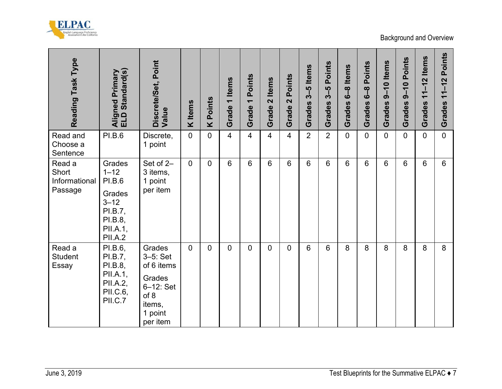

| Reading Task Type<br>Read and               | Standard(s)<br>Aligned Primary<br>ELD Standard(s)<br><b>PI.B.6</b>                                     | Discrete/Set, Point<br>Value<br>Discrete,                                                                | <b>K</b> Items<br>$\mathbf 0$ | Points<br>×<br>$\overline{0}$ | <b>Items</b><br>$\overline{\phantom{0}}$<br>Grade<br>$\overline{4}$ | Points<br>$\overline{\phantom{0}}$<br>Grade<br>$\overline{4}$ | <b>Items</b><br>$\overline{\mathbf{N}}$<br>Grade<br>$\overline{4}$ | Points<br>$\overline{\mathbf{N}}$<br>Grade<br>$\overline{4}$ | $3-5$ Items<br>Grades<br>$\overline{2}$ | Points<br>$3-5$<br>Grades<br>$\overline{2}$ | <b>Items</b><br>ထု<br>မ<br>Grades<br>$\overline{0}$ | Points<br>$\frac{8}{6}$<br>Grades<br>$\overline{0}$ | $9-10$ Items<br>Grades<br>$\overline{0}$ | Points<br>$9 - 10$<br>Grades<br>$\overline{0}$ | $11 - 12$ Items<br>Grades<br>$\mathbf 0$ | <b>Points</b><br>$11 - 12$<br>Grades<br>$\overline{0}$ |
|---------------------------------------------|--------------------------------------------------------------------------------------------------------|----------------------------------------------------------------------------------------------------------|-------------------------------|-------------------------------|---------------------------------------------------------------------|---------------------------------------------------------------|--------------------------------------------------------------------|--------------------------------------------------------------|-----------------------------------------|---------------------------------------------|-----------------------------------------------------|-----------------------------------------------------|------------------------------------------|------------------------------------------------|------------------------------------------|--------------------------------------------------------|
| Choose a<br>Sentence                        |                                                                                                        | 1 point                                                                                                  |                               |                               |                                                                     |                                                               |                                                                    |                                                              |                                         |                                             |                                                     |                                                     |                                          |                                                |                                          |                                                        |
| Read a<br>Short<br>Informational<br>Passage | Grades<br>$1 - 12$<br><b>PI.B.6</b><br>Grades<br>$3 - 12$<br>PI.B.7,<br>PI.B.8,<br>PII.A.1,<br>PII.A.2 | Set of 2-<br>3 items,<br>1 point<br>per item                                                             | $\overline{0}$                | $\overline{0}$                | $6\phantom{1}$                                                      | $6\phantom{1}$                                                | $6\phantom{a}$                                                     | $6\phantom{1}$                                               | 6                                       | 6                                           | 6                                                   | 6                                                   | $6\phantom{1}$                           | 6                                              | $6\phantom{1}$                           | $6\phantom{1}$                                         |
| Read a<br>Student<br>Essay                  | PI.B.6,<br>PI.B.7,<br>PI.B.8,<br>PII.A.1,<br><b>PII.A.2,</b><br>PII.C.6,<br>PII.C.7                    | Grades<br>$3-5$ : Set<br>of 6 items<br>Grades<br>$6 - 12$ : Set<br>of 8<br>items,<br>1 point<br>per item | $\overline{0}$                | $\overline{0}$                | $\overline{0}$                                                      | $\overline{0}$                                                | $\mathbf 0$                                                        | $\mathbf 0$                                                  | 6                                       | 6                                           | 8                                                   | 8                                                   | 8                                        | 8                                              | 8                                        | 8                                                      |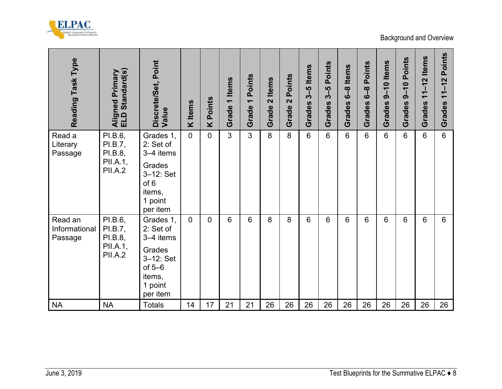

| Reading Task Type                   | Aligned Primary<br>ELD Standard(s)                          | Discrete/Set, Point<br>Value                                                                                 | K Items     | <b>Points</b><br>× | 1 Items<br>Grade <sup>-</sup> | Points<br>$\overline{\phantom{0}}$<br>Grade | 2 Items<br><b>Grade</b> | Points<br>$\overline{\mathbf{C}}$<br>Grade 2 | $3-5$ Items<br>Grades | Points<br>5<br>აქ<br><b>Grades</b> | 6-8 Items<br>Grades | Grades 6-8 Points | $9-10$ Items<br>Grades | 9-10 Points<br>Grades | $11 - 12$ Items<br>Grades | Grades 11-12 Points                                           |
|-------------------------------------|-------------------------------------------------------------|--------------------------------------------------------------------------------------------------------------|-------------|--------------------|-------------------------------|---------------------------------------------|-------------------------|----------------------------------------------|-----------------------|------------------------------------|---------------------|-------------------|------------------------|-----------------------|---------------------------|---------------------------------------------------------------|
| Read a<br>Literary<br>Passage       | PI.B.6,<br>PI.B.7,<br>PI.B.8,<br>PII.A.1,<br><b>PII.A.2</b> | Grades 1,<br>2: Set of<br>3-4 items<br>Grades<br>$3-12$ : Set<br>of 6<br>items,<br>1 point<br>per item       | $\mathbf 0$ | $\overline{0}$     | $\overline{3}$                | $\overline{3}$                              | 8                       | 8                                            | $6\phantom{1}$        | $6\phantom{1}$                     | 6                   | $6\phantom{a}$    | $6\phantom{1}$         | $6\phantom{1}$        | $6\phantom{a}$            | $6\phantom{a}$                                                |
| Read an<br>Informational<br>Passage | PI.B.6,<br>PI.B.7,<br>PI.B.8,<br>PII.A.1,<br><b>PII.A.2</b> | Grades 1,<br>2: Set of<br>3-4 items<br>Grades<br>$3 - 12$ : Set<br>of $5-6$<br>items,<br>1 point<br>per item | $\mathbf 0$ | $\overline{0}$     | 6                             | 6                                           | 8                       | 8                                            | 6                     | 6                                  | 6                   | 6                 | $6\phantom{1}$         | $6\phantom{1}$        | 6                         | $6\phantom{1}$                                                |
| <b>NA</b><br>June 3, 2019           | <b>NA</b>                                                   | <b>Totals</b>                                                                                                | 14          | 17                 | 21                            | 21                                          | 26                      | 26                                           | 26                    | 26                                 | 26                  | 26                | 26                     | 26                    | 26                        | 26<br>Test Blueprints for the Summative ELPAC $\rightarrow 8$ |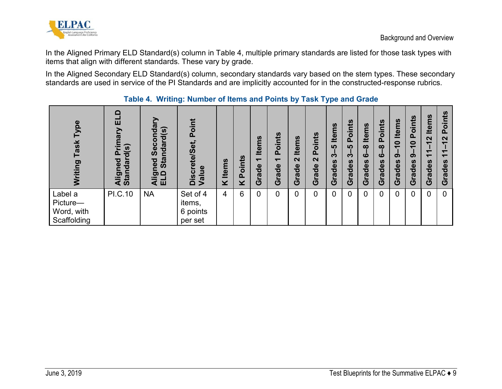

In the Aligned Primary ELD Standard(s) column in [Table 4,](#page-10-1) multiple primary standards are listed for those task types with items that align with different standards. These vary by grade.

In the Aligned Secondary ELD Standard(s) column, secondary standards vary based on the stem types. These secondary standards are used in service of the PI Standards and are implicitly accounted for in the constructed-response rubrics.

<span id="page-10-1"></span><span id="page-10-0"></span>

| ype<br>Task<br><b>p</b><br>Writin                | 白目<br>rimary<br>Standard(s)<br>$\Omega$<br>ਠ<br>Aligne | Secondary<br>Standard(s)<br>Aligned<br>ELD Sta | Point<br>Discrete/Set,<br>Value           | <b>Items</b><br>X | Points<br>× | <b>Items</b><br>$\overline{\phantom{0}}$<br>$\bullet$<br>Ō<br>ιã<br><b>U</b> | Points<br>$\overline{\phantom{0}}$<br>Grade | <b>Items</b><br>$\mathbf{\Omega}$<br>irade<br>$\overline{\mathbf{O}}$ | oints<br>$\overline{\mathbf{a}}$<br>$\mathbf{\Omega}$<br>rade<br>Ō | <b>Items</b><br><b>LO</b><br>က်<br><b>S</b><br>rade<br><b>U</b> | Points<br><u> ທ</u><br>က်<br>rades<br><b>U</b> | <b>Sul</b><br>흳<br>$\infty$<br><b>LO</b><br>des<br><b>E</b><br>Ō | <b>Points</b><br>$\infty$<br>۵Ò<br>rades<br>$\overline{\mathbf{C}}$ | <b>Items</b><br>$\bullet$<br>$\overline{\phantom{0}}$<br>$\boldsymbol{\sigma}$<br>Grades | <b>Points</b><br>$\bullet$<br>$\overline{\phantom{0}}$<br>ග<br>Grades | <b>Items</b><br>$\mathbf{\Omega}$<br>$\overline{\phantom{0}}$<br>$\mathbf{r}$<br>Grades | oints<br>$\mathbf{a}$<br>$\mathbf{\Omega}$<br>$\blacktriangledown$<br>Grades |
|--------------------------------------------------|--------------------------------------------------------|------------------------------------------------|-------------------------------------------|-------------------|-------------|------------------------------------------------------------------------------|---------------------------------------------|-----------------------------------------------------------------------|--------------------------------------------------------------------|-----------------------------------------------------------------|------------------------------------------------|------------------------------------------------------------------|---------------------------------------------------------------------|------------------------------------------------------------------------------------------|-----------------------------------------------------------------------|-----------------------------------------------------------------------------------------|------------------------------------------------------------------------------|
| Label a<br>Picture-<br>Word, with<br>Scaffolding | PI.C.10                                                | <b>NA</b>                                      | Set of 4<br>items,<br>6 points<br>per set | 4                 | 6           | $\Omega$                                                                     | $\overline{0}$                              | 0                                                                     | 0                                                                  | $\overline{0}$                                                  | 0                                              | 0                                                                | 0                                                                   | $\overline{0}$                                                                           | 0                                                                     | $\overline{0}$                                                                          | $\overline{0}$                                                               |

#### **Table 4. Writing: Number of Items and Points by Task Type and Grade**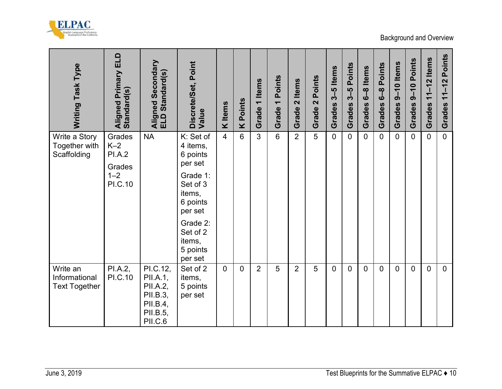

| Writing Task Type                                                 | Aligned Primary ELD<br>Standard(s)                                      | Aligned Secondary<br>ELD Standard(s)                                            | Discrete/Set, Point<br>Value                                                                                                                                   | K Items        | <b>K</b> Points | Grade 1 Items  | Grade 1 Points | Grade 2 Items  | Grade 2 Points | $3-5$ Items<br>Grades | Grades 3-5 Points | Grades 6-8 Items | Grades 6-8 Points | Grades 9-10 Items | Grades 9-10 Points | Grades 11-12 Items | Grades 11-12 Points                                            |
|-------------------------------------------------------------------|-------------------------------------------------------------------------|---------------------------------------------------------------------------------|----------------------------------------------------------------------------------------------------------------------------------------------------------------|----------------|-----------------|----------------|----------------|----------------|----------------|-----------------------|-------------------|------------------|-------------------|-------------------|--------------------|--------------------|----------------------------------------------------------------|
| Write a Story<br>Together with<br>Scaffolding                     | Grades<br>$K-2$<br><b>PI.A.2</b><br>Grades<br>$1 - 2$<br><b>PI.C.10</b> | <b>NA</b>                                                                       | K: Set of<br>4 items,<br>6 points<br>per set<br>Grade 1:<br>Set of 3<br>items,<br>6 points<br>per set<br>Grade 2:<br>Set of 2<br>items,<br>5 points<br>per set | $\overline{4}$ | 6               | $\overline{3}$ | $6\phantom{a}$ | $\overline{2}$ | 5              | $\overline{0}$        | $\overline{0}$    | $\overline{0}$   | $\overline{0}$    | $\Omega$          | $\overline{0}$     | $\overline{0}$     | $\overline{0}$                                                 |
| Write an<br>Informational<br><b>Text Together</b><br>June 3, 2019 | PI.A.2,<br><b>PI.C.10</b>                                               | PI.C.12,<br>PII.A.1,<br>PII.A.2,<br>PII.B.3,<br>PII.B.4,<br>PII.B.5,<br>PII.C.6 | Set of 2<br>items,<br>5 points<br>per set                                                                                                                      | $\overline{0}$ | $\overline{0}$  | $\overline{2}$ | 5              | $\overline{2}$ | 5              | $\overline{0}$        | $\mathbf 0$       | $\overline{0}$   | $\mathbf 0$       | $\mathbf 0$       | $\overline{0}$     | $\overline{0}$     | $\overline{0}$<br>Test Blueprints for the Summative ELPAC ♦ 10 |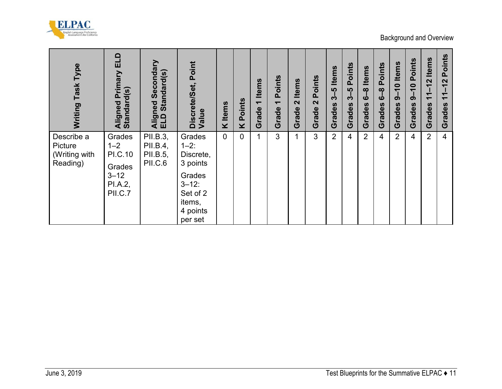

| Writing Task Type                                  | Aligned Primary ELD<br>Standard(s)                                       | Aligned Secondary<br>ELD Standard(s)        | Discrete/Set, Point<br>Value                                                                                     | <b>K</b> Items | <b>K</b> Points | Grade 1 Items | Grade 1 Points | Grade 2 Items | Grade 2 Points | Grades 3-5 Items | Grades 3-5 Points | Grades 6-8 Items | Grades 6-8 Points | Grades 9-10 Items | Grades 9-10 Points | Grades 11-12 Items | Grades 11-12 Points |
|----------------------------------------------------|--------------------------------------------------------------------------|---------------------------------------------|------------------------------------------------------------------------------------------------------------------|----------------|-----------------|---------------|----------------|---------------|----------------|------------------|-------------------|------------------|-------------------|-------------------|--------------------|--------------------|---------------------|
| Describe a<br>Picture<br>(Writing with<br>Reading) | Grades<br>$1 - 2$<br>PI.C.10<br>Grades<br>$3 - 12$<br>PI.A.2,<br>PII.C.7 | PII.B.3,<br>PII.B.4,<br>PII.B.5,<br>PII.C.6 | Grades<br>$1 - 2:$<br>Discrete,<br>3 points<br>Grades<br>$3 - 12$ :<br>Set of 2<br>items,<br>4 points<br>per set | $\overline{0}$ | $\mathbf 0$     | $\mathbf{1}$  | $\overline{3}$ | $\mathbf{1}$  | $\mathbf{3}$   | $\overline{2}$   | $\overline{4}$    | $\overline{2}$   | $\overline{4}$    | $\overline{2}$    | $\overline{4}$     | $\overline{2}$     | $\overline{4}$      |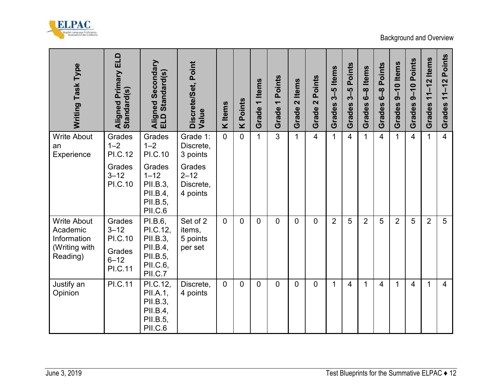

| Grades<br>$1 - 2$<br><b>PI.C.10</b>                                        | Grade 1:                                    |                |                | Grade          | Grade <sup>-</sup> | Grade 2 Items  | Grade 2        | Grades         | Grades         | Grades 6-8 Items | Grades 6-8 Points | Grades 9-10 Items | Grades 9-10 Points | Grades 11-12 Items | Grades 11-12 Points |
|----------------------------------------------------------------------------|---------------------------------------------|----------------|----------------|----------------|--------------------|----------------|----------------|----------------|----------------|------------------|-------------------|-------------------|--------------------|--------------------|---------------------|
|                                                                            | Discrete,<br>3 points                       | $\overline{0}$ | $\Omega$       | $\mathbf{1}$   | $\overline{3}$     | $\mathbf{1}$   | $\overline{4}$ | $\mathbf{1}$   | $\overline{4}$ | $\mathbf{1}$     | $\overline{4}$    | $\overline{1}$    | $\overline{4}$     | $\mathbf{1}$       | $\overline{4}$      |
| Grades<br>$1 - 12$<br>PII.B.3,<br>PII.B.4,<br>PII.B.5,<br>PII.C.6          | Grades<br>$2 - 12$<br>Discrete,<br>4 points |                |                |                |                    |                |                |                |                |                  |                   |                   |                    |                    |                     |
| PI.B.6,<br>PI.C.12,<br>PII.B.3,<br>PII.B.4,<br>PII.B.5,<br>PII.C.6,        | Set of 2<br>items,<br>5 points<br>per set   | $\overline{0}$ | $\mathbf 0$    | $\mathbf 0$    | $\overline{0}$     | $\overline{0}$ | $\overline{0}$ | $\overline{2}$ | 5              | $\overline{2}$   | 5                 | $\overline{2}$    | 5                  | $\overline{2}$     | 5                   |
| PI.C.12,<br>PII.A.1,<br>PII.B.3,<br>PII.B.4,<br>PII.B.5,<br><b>PII.C.6</b> | Discrete,<br>4 points                       | $\overline{0}$ | $\overline{0}$ | $\overline{0}$ | $\overline{0}$     | $\overline{0}$ | $\overline{0}$ | $\mathbf{1}$   | $\overline{4}$ | $\mathbf{1}$     | $\overline{4}$    | $\mathbf{1}$      | 4                  | $\mathbf{1}$       | $\overline{4}$      |
|                                                                            | PII.C.7                                     |                |                |                |                    |                |                |                |                |                  |                   |                   |                    |                    |                     |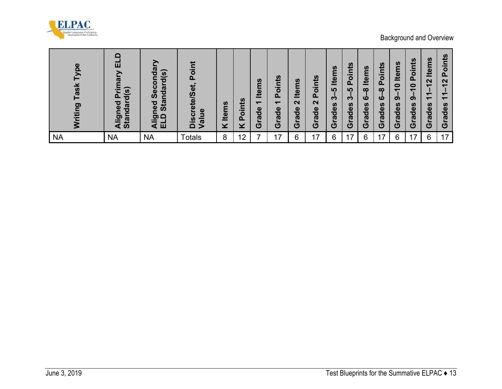

| Writing Task Type | Aligned Primary ELD<br>Standard(s) | Aligned Secondary<br>ELD Standard(s) | Discrete/Set, Point<br>Value | K Items | <b>K</b> Points | Grade 1 Items  | Grade 1 Points | Grade 2 Items | Grade 2 Points | Grades 3-5 Items | Grades 3-5 Points | Grades 6-8 Items | Grades 6-8 Points | Grades 9-10 Items | Grades 9-10 Points | Grades 11-12 Items | Grades 11-12 Points                          |
|-------------------|------------------------------------|--------------------------------------|------------------------------|---------|-----------------|----------------|----------------|---------------|----------------|------------------|-------------------|------------------|-------------------|-------------------|--------------------|--------------------|----------------------------------------------|
| <b>NA</b>         | <b>NA</b>                          | <b>NA</b>                            | <b>Totals</b>                | $\bf 8$ | 12              | $\overline{7}$ | 17             | $\,6\,$       | 17             | $\,6\,$          | 17                | $\,6\,$          | 17                | $\,6\,$           | 17                 | $\,6\,$            | 17                                           |
|                   |                                    |                                      |                              |         |                 |                |                |               |                |                  |                   |                  |                   |                   |                    |                    |                                              |
|                   |                                    |                                      |                              |         |                 |                |                |               |                |                  |                   |                  |                   |                   |                    |                    |                                              |
| June 3, 2019      |                                    |                                      |                              |         |                 |                |                |               |                |                  |                   |                  |                   |                   |                    |                    | Test Blueprints for the Summative ELPAC ♦ 13 |